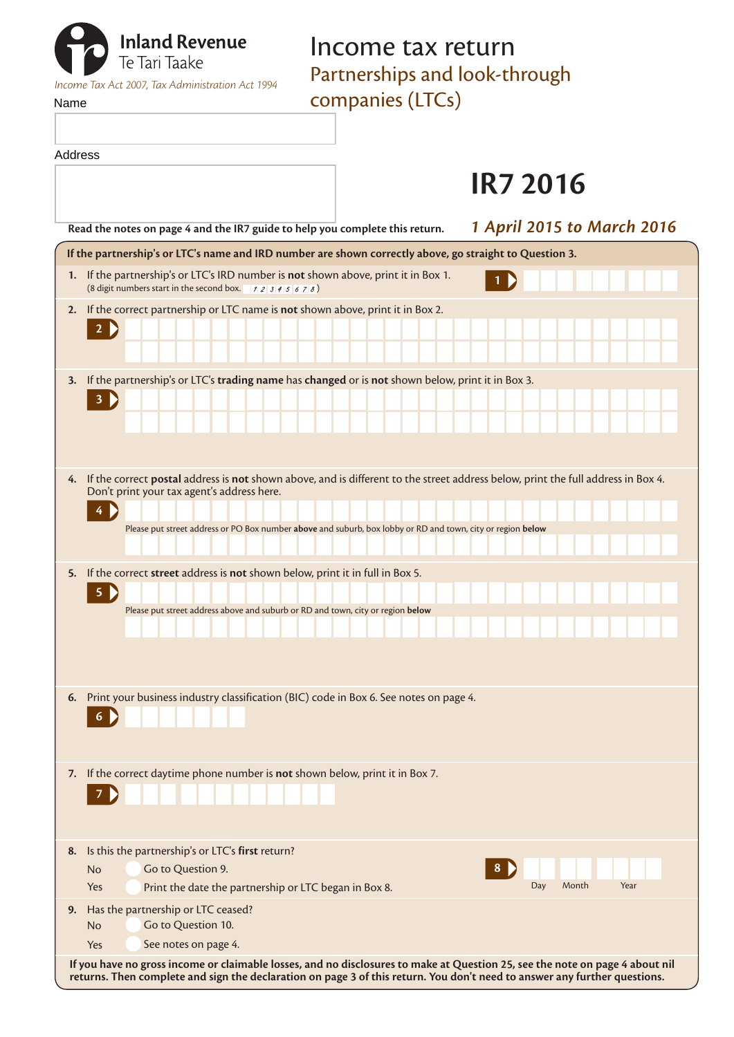| <b>The Tari Taake</b>                            | Income tax return<br>Partnerships and look-through |  |
|--------------------------------------------------|----------------------------------------------------|--|
|                                                  |                                                    |  |
| Income Tax Act 2007, Tax Administration Act 1994 |                                                    |  |
| Name                                             | companies (LTCs)                                   |  |

Address

# **IR7 2016**

| <b>1 April 2015 to March 2016</b><br>Read the notes on page 4 and the IR7 guide to help you complete this return.                                                                                                                                                                                        |  |  |  |  |
|----------------------------------------------------------------------------------------------------------------------------------------------------------------------------------------------------------------------------------------------------------------------------------------------------------|--|--|--|--|
| If the partnership's or LTC's name and IRD number are shown correctly above, go straight to Question 3.                                                                                                                                                                                                  |  |  |  |  |
| 1. If the partnership's or LTC's IRD number is not shown above, print it in Box 1.<br>(8 digit numbers start in the second box. $\begin{array}{c} 7 & 2 \end{array}$ 3 4 5 6 7 8)                                                                                                                        |  |  |  |  |
| If the correct partnership or LTC name is not shown above, print it in Box 2.<br>2.<br>$2 \triangleright$                                                                                                                                                                                                |  |  |  |  |
| If the partnership's or LTC's trading name has changed or is not shown below, print it in Box 3.<br>3.<br>$\overline{\mathbf{3}}$<br>D                                                                                                                                                                   |  |  |  |  |
| If the correct postal address is not shown above, and is different to the street address below, print the full address in Box 4.<br>4.<br>Don't print your tax agent's address here.<br>4<br>Please put street address or PO Box number above and suburb, box lobby or RD and town, city or region below |  |  |  |  |
| If the correct street address is not shown below, print it in full in Box 5.<br>5.<br>5<br>Please put street address above and suburb or RD and town, city or region below                                                                                                                               |  |  |  |  |
| Print your business industry classification (BIC) code in Box 6. See notes on page 4.<br>6.<br>6                                                                                                                                                                                                         |  |  |  |  |
| 7. If the correct daytime phone number is not shown below, print it in Box 7.<br>7                                                                                                                                                                                                                       |  |  |  |  |
| Is this the partnership's or LTC's first return?<br>8.<br>Go to Question 9.<br>8.<br>No<br>Day<br>Month<br>Year<br>Print the date the partnership or LTC began in Box 8.<br>Yes                                                                                                                          |  |  |  |  |
| Has the partnership or LTC ceased?<br>9.<br>Go to Question 10.<br><b>No</b><br>See notes on page 4.<br>Yes                                                                                                                                                                                               |  |  |  |  |
| If you have no gross income or claimable losses, and no disclosures to make at Question 25, see the note on page 4 about nil<br>returns. Then complete and sign the declaration on page 3 of this return. You don't need to answer any further questions.                                                |  |  |  |  |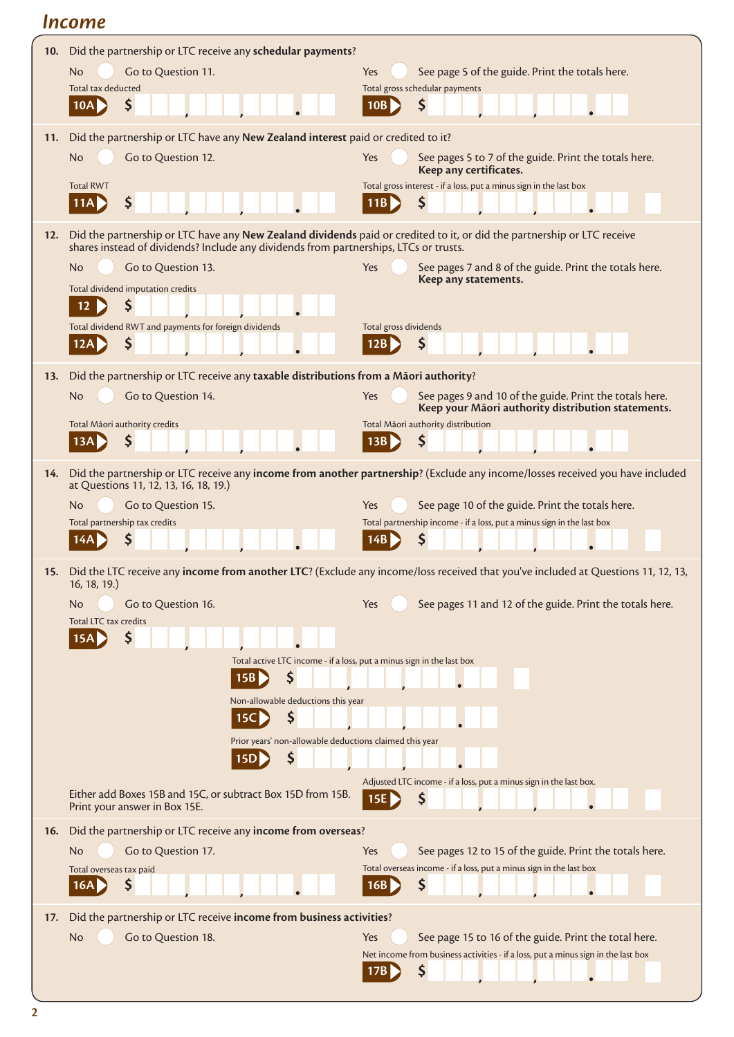# *Income*

| 10. | Did the partnership or LTC receive any schedular payments?                                                              |                                                                                                                                      |  |
|-----|-------------------------------------------------------------------------------------------------------------------------|--------------------------------------------------------------------------------------------------------------------------------------|--|
|     | Go to Question 11.<br><b>No</b>                                                                                         | See page 5 of the guide. Print the totals here.<br>Yes                                                                               |  |
|     | Total tax deducted                                                                                                      | Total gross schedular payments                                                                                                       |  |
|     | Ş<br>10A                                                                                                                | \$<br>10B                                                                                                                            |  |
| 11. | Did the partnership or LTC have any New Zealand interest paid or credited to it?                                        |                                                                                                                                      |  |
|     | Go to Question 12.<br>No                                                                                                | See pages 5 to 7 of the guide. Print the totals here.<br>Yes                                                                         |  |
|     |                                                                                                                         | Keep any certificates.                                                                                                               |  |
|     | <b>Total RWT</b>                                                                                                        | Total gross interest - if a loss, put a minus sign in the last box                                                                   |  |
|     | \$<br>11A                                                                                                               | \$<br>11B                                                                                                                            |  |
| 12. | Did the partnership or LTC have any New Zealand dividends paid or credited to it, or did the partnership or LTC receive |                                                                                                                                      |  |
|     | shares instead of dividends? Include any dividends from partnerships, LTCs or trusts.                                   |                                                                                                                                      |  |
|     | Go to Question 13.<br>No                                                                                                | Yes<br>See pages 7 and 8 of the guide. Print the totals here.<br>Keep any statements.                                                |  |
|     | Total dividend imputation credits                                                                                       |                                                                                                                                      |  |
|     | \$<br>12                                                                                                                |                                                                                                                                      |  |
|     | Total dividend RWT and payments for foreign dividends                                                                   | Total gross dividends                                                                                                                |  |
|     | \$<br>12A                                                                                                               | \$<br>12B                                                                                                                            |  |
| 13. | Did the partnership or LTC receive any taxable distributions from a Māori authority?                                    |                                                                                                                                      |  |
|     | Go to Question 14.<br>No                                                                                                | Yes<br>See pages 9 and 10 of the guide. Print the totals here.                                                                       |  |
|     |                                                                                                                         | Keep your Māori authority distribution statements.                                                                                   |  |
|     | Total Māori authority credits<br>S<br>13A                                                                               | Total Māori authority distribution<br>\$<br>13B                                                                                      |  |
|     |                                                                                                                         |                                                                                                                                      |  |
| 14. |                                                                                                                         | Did the partnership or LTC receive any income from another partnership? (Exclude any income/losses received you have included        |  |
|     | at Questions 11, 12, 13, 16, 18, 19.)                                                                                   |                                                                                                                                      |  |
|     | Go to Question 15.<br>No                                                                                                | See page 10 of the guide. Print the totals here.<br>Yes                                                                              |  |
|     | Total partnership tax credits<br>14A                                                                                    | Total partnership income - if a loss, put a minus sign in the last box<br>Ş<br>14B                                                   |  |
|     |                                                                                                                         |                                                                                                                                      |  |
|     |                                                                                                                         | 15. Did the LTC receive any income from another LTC? (Exclude any income/loss received that you've included at Questions 11, 12, 13, |  |
|     | 16, 18, 19.)<br>Go to Question 16.<br>No.                                                                               | See pages 11 and 12 of the guide. Print the totals here.<br>Yes                                                                      |  |
|     | Total LTC tax credits                                                                                                   |                                                                                                                                      |  |
|     | 15A                                                                                                                     |                                                                                                                                      |  |
|     | Total active LTC income - if a loss, put a minus sign in the last box                                                   |                                                                                                                                      |  |
|     | \$<br>15B                                                                                                               |                                                                                                                                      |  |
|     | Non-allowable deductions this year                                                                                      |                                                                                                                                      |  |
|     | \$<br>15 <sub>C</sub>                                                                                                   |                                                                                                                                      |  |
|     | Prior years' non-allowable deductions claimed this year                                                                 |                                                                                                                                      |  |
|     | S<br><b>15D</b>                                                                                                         |                                                                                                                                      |  |
|     |                                                                                                                         | Adjusted LTC income - if a loss, put a minus sign in the last box.                                                                   |  |
|     | Either add Boxes 15B and 15C, or subtract Box 15D from 15B.                                                             | 15E<br>Ş                                                                                                                             |  |
|     | Print your answer in Box 15E.                                                                                           |                                                                                                                                      |  |
| 16. | Did the partnership or LTC receive any income from overseas?                                                            |                                                                                                                                      |  |
|     | Go to Question 17.<br>No                                                                                                | See pages 12 to 15 of the guide. Print the totals here.<br>Yes                                                                       |  |
|     | Total overseas tax paid<br>Ş<br>16A                                                                                     | Total overseas income - if a loss, put a minus sign in the last box<br>Ş<br>16B                                                      |  |
|     |                                                                                                                         |                                                                                                                                      |  |
| 17. | Did the partnership or LTC receive income from business activities?                                                     |                                                                                                                                      |  |
|     | Go to Question 18.<br>No                                                                                                | See page 15 to 16 of the guide. Print the total here.<br>Yes                                                                         |  |
|     |                                                                                                                         | Net income from business activities - if a loss, put a minus sign in the last box                                                    |  |
|     |                                                                                                                         | \$<br>17B                                                                                                                            |  |
|     |                                                                                                                         |                                                                                                                                      |  |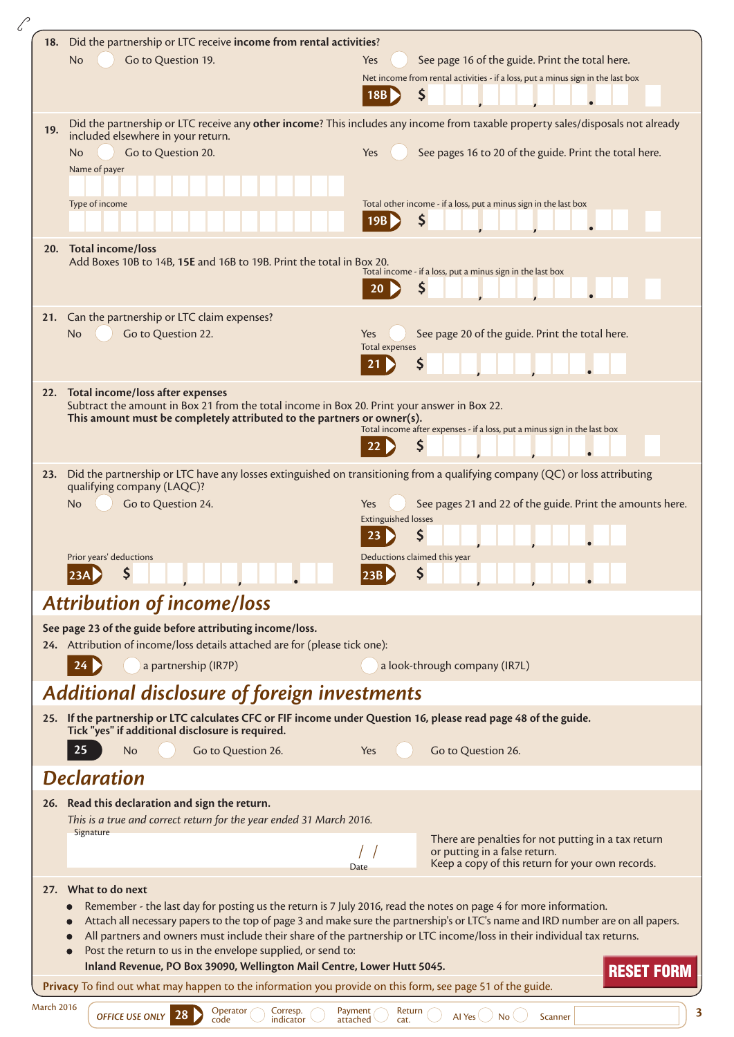|                   | 18. Did the partnership or LTC receive income from rental activities?                                                                                                                                                                                |                                                                                                                                 |  |
|-------------------|------------------------------------------------------------------------------------------------------------------------------------------------------------------------------------------------------------------------------------------------------|---------------------------------------------------------------------------------------------------------------------------------|--|
|                   | <b>No</b><br>Go to Question 19.                                                                                                                                                                                                                      | See page 16 of the guide. Print the total here.<br>Yes                                                                          |  |
|                   |                                                                                                                                                                                                                                                      | Net income from rental activities - if a loss, put a minus sign in the last box                                                 |  |
|                   |                                                                                                                                                                                                                                                      | S<br>18B                                                                                                                        |  |
|                   |                                                                                                                                                                                                                                                      | Did the partnership or LTC receive any other income? This includes any income from taxable property sales/disposals not already |  |
| 19.               | included elsewhere in your return.                                                                                                                                                                                                                   |                                                                                                                                 |  |
|                   | Go to Question 20.<br>No.                                                                                                                                                                                                                            | See pages 16 to 20 of the guide. Print the total here.<br>Yes                                                                   |  |
|                   | Name of payer                                                                                                                                                                                                                                        |                                                                                                                                 |  |
|                   |                                                                                                                                                                                                                                                      |                                                                                                                                 |  |
|                   | Type of income                                                                                                                                                                                                                                       | Total other income - if a loss, put a minus sign in the last box                                                                |  |
|                   |                                                                                                                                                                                                                                                      | \$<br>19B                                                                                                                       |  |
|                   | 20. Total income/loss                                                                                                                                                                                                                                |                                                                                                                                 |  |
|                   | Add Boxes 10B to 14B, 15E and 16B to 19B. Print the total in Box 20.                                                                                                                                                                                 | Total income - if a loss, put a minus sign in the last box                                                                      |  |
|                   |                                                                                                                                                                                                                                                      |                                                                                                                                 |  |
|                   |                                                                                                                                                                                                                                                      |                                                                                                                                 |  |
|                   | 21. Can the partnership or LTC claim expenses?                                                                                                                                                                                                       |                                                                                                                                 |  |
|                   | Go to Question 22.<br>No                                                                                                                                                                                                                             | See page 20 of the guide. Print the total here.<br>Yes<br><b>Total expenses</b>                                                 |  |
|                   |                                                                                                                                                                                                                                                      | Ş                                                                                                                               |  |
|                   |                                                                                                                                                                                                                                                      |                                                                                                                                 |  |
|                   | 22. Total income/loss after expenses<br>Subtract the amount in Box 21 from the total income in Box 20. Print your answer in Box 22.                                                                                                                  |                                                                                                                                 |  |
|                   | This amount must be completely attributed to the partners or owner(s).                                                                                                                                                                               |                                                                                                                                 |  |
|                   |                                                                                                                                                                                                                                                      | Total income after expenses - if a loss, put a minus sign in the last box                                                       |  |
|                   |                                                                                                                                                                                                                                                      | \$                                                                                                                              |  |
| 23.               |                                                                                                                                                                                                                                                      | Did the partnership or LTC have any losses extinguished on transitioning from a qualifying company (QC) or loss attributing     |  |
|                   | qualifying company (LAQC)?                                                                                                                                                                                                                           |                                                                                                                                 |  |
|                   | Go to Question 24.<br>No                                                                                                                                                                                                                             | See pages 21 and 22 of the guide. Print the amounts here.<br>Yes                                                                |  |
|                   |                                                                                                                                                                                                                                                      | <b>Extinguished losses</b><br>\$<br>23                                                                                          |  |
|                   |                                                                                                                                                                                                                                                      |                                                                                                                                 |  |
|                   | Prior years' deductions                                                                                                                                                                                                                              | Deductions claimed this year<br> 23B                                                                                            |  |
|                   |                                                                                                                                                                                                                                                      |                                                                                                                                 |  |
|                   | <b>Attribution of income/loss</b>                                                                                                                                                                                                                    |                                                                                                                                 |  |
|                   | See page 23 of the guide before attributing income/loss.                                                                                                                                                                                             |                                                                                                                                 |  |
|                   | 24. Attribution of income/loss details attached are for (please tick one):                                                                                                                                                                           |                                                                                                                                 |  |
|                   | a partnership (IR7P)                                                                                                                                                                                                                                 | a look-through company (IR7L)                                                                                                   |  |
|                   | <b>Additional disclosure of foreign investments</b>                                                                                                                                                                                                  |                                                                                                                                 |  |
|                   |                                                                                                                                                                                                                                                      |                                                                                                                                 |  |
|                   | 25. If the partnership or LTC calculates CFC or FIF income under Question 16, please read page 48 of the guide.<br>Tick "yes" if additional disclosure is required.                                                                                  |                                                                                                                                 |  |
|                   | 25<br>Go to Question 26.<br>No                                                                                                                                                                                                                       | Go to Question 26.<br>Yes                                                                                                       |  |
|                   |                                                                                                                                                                                                                                                      |                                                                                                                                 |  |
|                   | <b>Declaration</b>                                                                                                                                                                                                                                   |                                                                                                                                 |  |
|                   | 26. Read this declaration and sign the return.                                                                                                                                                                                                       |                                                                                                                                 |  |
|                   | This is a true and correct return for the year ended 31 March 2016.<br>Signature                                                                                                                                                                     |                                                                                                                                 |  |
|                   |                                                                                                                                                                                                                                                      | There are penalties for not putting in a tax return<br>or putting in a false return.                                            |  |
|                   |                                                                                                                                                                                                                                                      | Keep a copy of this return for your own records.<br>Date                                                                        |  |
|                   | 27. What to do next                                                                                                                                                                                                                                  |                                                                                                                                 |  |
|                   |                                                                                                                                                                                                                                                      |                                                                                                                                 |  |
|                   | Remember - the last day for posting us the return is 7 July 2016, read the notes on page 4 for more information.<br>Attach all necessary papers to the top of page 3 and make sure the partnership's or LTC's name and IRD number are on all papers. |                                                                                                                                 |  |
|                   |                                                                                                                                                                                                                                                      | All partners and owners must include their share of the partnership or LTC income/loss in their individual tax returns.         |  |
|                   | Post the return to us in the envelope supplied, or send to:                                                                                                                                                                                          |                                                                                                                                 |  |
|                   | Inland Revenue, PO Box 39090, Wellington Mail Centre, Lower Hutt 5045.                                                                                                                                                                               | <b>RESET FORM</b>                                                                                                               |  |
|                   | Privacy To find out what may happen to the information you provide on this form, see page 51 of the guide.                                                                                                                                           |                                                                                                                                 |  |
| <b>March 2016</b> | Operator<br>Corresp.<br>OFFICE USE ONLY 28                                                                                                                                                                                                           | Payment<br>Return<br>Al Yes $\langle \rangle$ No $\langle$<br>Scanner                                                           |  |
|                   | code<br>indicator                                                                                                                                                                                                                                    | attached<br>cat.                                                                                                                |  |